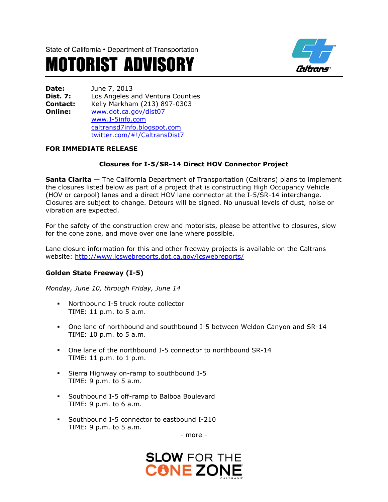State of California • Department of Transportation

# MOTORIST ADVISORY



**Date:** June 7, 2013 **Dist. 7:** Los Angeles and Ventura Counties **Contact:** Kelly Markham (213) 897-0303 **Online:** [www.dot.ca.gov/dist07](http://www.dot.ca.gov/dist07) [www.I-5info.com](http://www.i-5info.com/) caltransd7info.blogspot.com twitter.com/#!/CaltransDist7

## **FOR IMMEDIATE RELEASE**

# **Closures for I-5/SR-14 Direct HOV Connector Project**

**Santa Clarita** — The California Department of Transportation (Caltrans) plans to implement the closures listed below as part of a project that is constructing High Occupancy Vehicle (HOV or carpool) lanes and a direct HOV lane connector at the I-5/SR-14 interchange. Closures are subject to change. Detours will be signed. No unusual levels of dust, noise or vibration are expected.

For the safety of the construction crew and motorists, please be attentive to closures, slow for the cone zone, and move over one lane where possible.

Lane closure information for this and other freeway projects is available on the Caltrans website:<http://www.lcswebreports.dot.ca.gov/lcswebreports/>

#### **Golden State Freeway (I-5)**

*Monday, June 10, through Friday, June 14*

- Northbound I-5 truck route collector TIME: 11 p.m. to 5 a.m.
- One lane of northbound and southbound I-5 between Weldon Canyon and SR-14 TIME: 10 p.m. to 5 a.m.
- One lane of the northbound I-5 connector to northbound SR-14 TIME: 11 p.m. to 1 p.m.
- Sierra Highway on-ramp to southbound I-5 TIME: 9 p.m. to 5 a.m.
- Southbound I-5 off-ramp to Balboa Boulevard TIME: 9 p.m. to 6 a.m.
- Southbound I-5 connector to eastbound I-210 TIME: 9 p.m. to 5 a.m.

- more -